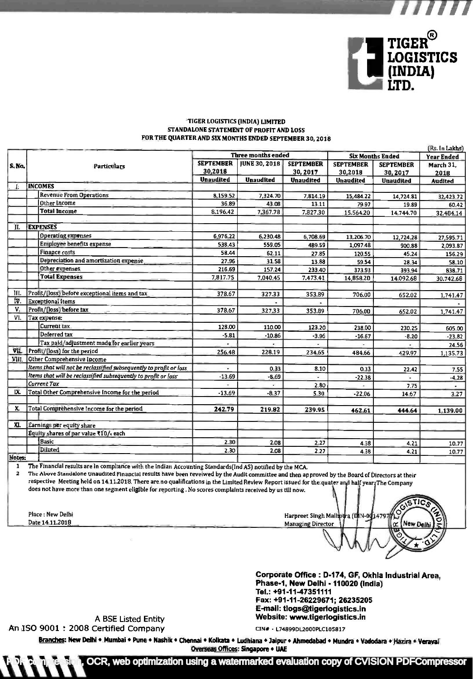

I'll I'll I

## TIGER LOGISTICS (INDIA) LIMITED STANDALONE STATEMENT OF PROFIT AND LOSS

| S. No. |                          | <b>Three months ended</b>                                          |                             |                      | <b>Six Months Ended</b>     |                             | <b>Year Ended</b>           |                   |
|--------|--------------------------|--------------------------------------------------------------------|-----------------------------|----------------------|-----------------------------|-----------------------------|-----------------------------|-------------------|
|        | Particulars              |                                                                    | <b>SEPTEMBER</b><br>30,2018 | <b>JUNE 30, 2018</b> | <b>SEPTEMBER</b><br>30,2017 | <b>SEPTEMBER</b><br>30,2018 | <b>SEPTEMBER</b><br>30,2017 | March 31.<br>2018 |
| Æ.     | <b>INCOMES</b>           |                                                                    | <b>Unaudited</b>            | <b>Unaudited</b>     | <b>Unaudited</b>            | <b>Unaudited</b>            | <b>Unaudited</b>            | <b>Audited</b>    |
|        |                          | <b>Revenue From Operations</b>                                     |                             |                      |                             |                             |                             |                   |
|        |                          | Other Income                                                       | 8,159.52                    | 7,324.70             | 7,814.19                    | 15,484.22                   | 14,724.81                   | 32,423.72         |
|        |                          | <b>Total Income</b>                                                | 36.89                       | 43.08                | 13.11                       | 79 97                       | 19.89                       | 60.42             |
|        |                          |                                                                    | 8,196.42                    | 7,367.78             | 7,827.30                    | 15,564.20                   | 14,744.70                   | 32,484.14         |
| ÏI.    |                          | <b>EXPENSES</b>                                                    |                             |                      |                             |                             |                             |                   |
|        |                          | <b>Operating expenses</b>                                          | 6,976.22                    | 6,230.48             | 6,708.69                    | 13,206.70                   | 12,724.28                   | 27,595.71         |
|        |                          | Employee benefits expense                                          | 538.43                      | 559.05               | 489.59                      | 1,097.48                    | 900.88                      | 2,093.87          |
|        |                          | Finance costs                                                      | 58.44                       | 62 11                | 27.85                       | 120.55                      | 45.24                       | 156.29            |
|        |                          | Depreciation and amortization expense.                             | 27.96                       | 31.58                | 1388                        | 59.54                       | 28.34                       | 58.10             |
|        |                          | Other expenses                                                     | 216.69                      | 157.24               | 233.40                      | 373.93                      | 393.94                      | 838.71            |
|        |                          | <b>Total Expenses</b>                                              | 7,817.75                    | 7,040.45             | 7,473.41                    | 14,858.20                   | 14,092.68                   | 30.742.68         |
|        |                          |                                                                    |                             |                      |                             |                             |                             |                   |
| III.   |                          | Profit/[loss] before exceptional items and tax.                    | 378.67                      | 327.33               | 353.89                      | 706.00                      | 652.02                      | 1,741.47          |
| ĬV.    | <b>Exceptional Items</b> |                                                                    |                             |                      |                             |                             |                             |                   |
| V.     |                          | Profit/(loss) before tax                                           | 378.67                      | 327.33               | 353.89                      | 706.00                      | 652.02                      | 1,741.47          |
| VI.    |                          | Tax expense:                                                       |                             |                      |                             |                             |                             |                   |
|        |                          | Current tax                                                        | 128.00                      | 110.00               | 123.20                      | 238.00                      | 230.25                      | 605.00            |
|        |                          | Deferred tax                                                       | $-5.81$                     | $-10.86$             | $-3.96$                     | $-16.67$                    | $-8.20$                     | $-23.82$          |
|        |                          | Tax paid/adjustment made for earlier years                         |                             |                      |                             |                             |                             | 24.56             |
| VII.   |                          | Profit/(loss) for the period                                       | 256.48                      | 228.19               | 234.65                      | 484.66                      | 429.97                      | 1,135.73          |
| VIII.  |                          | Other Comprehensive Income                                         |                             |                      |                             |                             |                             |                   |
|        |                          | Items that will not be reclassified subsequently to profit or loss |                             | 0.33                 | 8.10                        | 0.33                        | 22.42                       | 7.55              |
|        |                          | Items that will be reclassified subsequently to profit or loss     | $-13.69$                    | $-8.69$              |                             | $-22.38$                    | $\sim$                      | $-4.28$           |
|        |                          | Current Tax                                                        |                             |                      | 2.80                        |                             | 7.75                        |                   |
| IX.    |                          | Total Other Comprehensive Income for the period                    | $-13.69$                    | $-8.37$              | 5.30                        | $-22.06$                    | 14.67                       | 3.27              |
|        |                          |                                                                    |                             |                      |                             |                             |                             |                   |
| X.     |                          | Total Comprehensive Income for the period                          | 242.79                      | 219.82               | 239.95                      | 462.61                      | 444.64                      | 1,139.00          |
| XI.    |                          | Earnings per equity share                                          |                             |                      |                             |                             |                             |                   |
|        |                          | Bquity shares of par value ₹10/- each                              |                             |                      |                             |                             |                             |                   |
|        |                          | <b>Basic</b>                                                       |                             |                      |                             |                             |                             |                   |
|        |                          | Diluted                                                            | 2.30                        | 2.08                 | 2.27                        | 4.38                        | 4.21                        | 10.77             |
| Notes: |                          |                                                                    | 2.30                        | 2.08                 | 2.27                        | 4.38                        | 4.21                        | 10.77             |

<sup>I</sup>The Financial results are in compliance with the Indian Accounting Standards(Ind AS) notified by the MCA.

<sup>2</sup>The Above Standalone Unaudited Financial results have been reveiwed by the Audit committee and then approved by the Board of Directors at their respective Meeting held on 14.11.2018. There are no qualifications in the Limited Review Report issued for the quater and half year. The Company does not have more than one segment eligible for reporting . No scores complaints received by us till now.

Place: New Delhi Date 14.11.2018

 $\sqrt{\frac{1}{10}}$ Harpreet Singh Malh<br>Managing Director New D Œ

Corporate Office : D-174, GF, Okhla Industrial Area, Phase-1, New Delhi - 110020 (India) Tel.: +91-1147351111 Fax: +91-11-26229671; 26235205 E-mail: tlogs@tigerlogistics.in <sup>A</sup>BSE Listed Entity Website: www.tigerlogistics.in

An ISO 9001 : 2008 Certified Company CIN# - L74899DL2000PLC105817

Branches: New Delhi + Mumbai + Pune + Nashik + Chennai + Kolkata + Ludhiana + Jaipur + Ahmedabad + Mundra + Vadodara + Hazira + Veraval Overseas Offices: Singapore + UAE

OCR, web optimization using a watermarked evaluation copy of CVISION PDFCompressor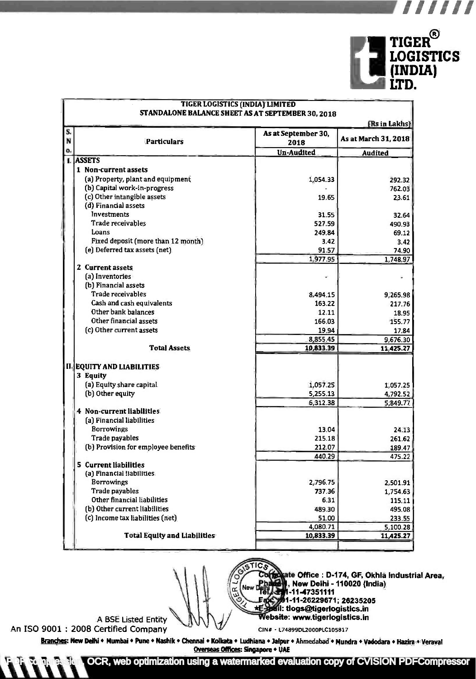

pr,jj,j,

|                                     |                             | (Rs in Lakhs)                          |  |  |  |  |
|-------------------------------------|-----------------------------|----------------------------------------|--|--|--|--|
| N<br><b>Particulars</b>             | As at September 30,<br>2018 | As at March 31, 2018<br><b>Audited</b> |  |  |  |  |
| o.                                  | <b>Un-Audited</b>           |                                        |  |  |  |  |
| <b>ASSETS</b>                       |                             |                                        |  |  |  |  |
| 1 Non-current assets                |                             |                                        |  |  |  |  |
| (a) Property, plant and equipment   | 1,054.33                    | 292.32                                 |  |  |  |  |
| (b) Capital work-in-progress        |                             | 762.03                                 |  |  |  |  |
| (c) Other intangible assets         | 19.65                       | 23.61                                  |  |  |  |  |
| (d) Financial assets                |                             |                                        |  |  |  |  |
| Investments                         | 31.55                       | 32.64                                  |  |  |  |  |
| Trade receivables                   | 527.59                      | 490.93                                 |  |  |  |  |
| Loans                               | 249.84                      | 69.12                                  |  |  |  |  |
| Fixed deposit (more than 12 month). | 3.42                        | 3.42                                   |  |  |  |  |
| (e) Deferred tax assets (net).      | 91.57                       | 74.90                                  |  |  |  |  |
|                                     | 1,977.95                    | 1,748.97                               |  |  |  |  |
| 2 Current assets                    |                             |                                        |  |  |  |  |
| (a) Inventories                     |                             |                                        |  |  |  |  |
| (b) Financial assets                |                             |                                        |  |  |  |  |
| Trade receivables                   | 8,494.15                    | 9,265.98                               |  |  |  |  |
| Cash and cash equivalents           | 163.22                      | 217.76                                 |  |  |  |  |
| Other bank balances                 | 12.11                       | 18.95                                  |  |  |  |  |
| Other financial assets              | 166.03                      | 155.77                                 |  |  |  |  |
| (c) Other current assets            | 19.94                       | 17.84                                  |  |  |  |  |
|                                     | 8,855.45                    | 9,676.30                               |  |  |  |  |
| <b>Total Assets</b>                 | 10,833.39                   | 11,425.27                              |  |  |  |  |
| <b>II. EQUITY AND LIABILITIES</b>   |                             |                                        |  |  |  |  |
| 3 Equity                            |                             |                                        |  |  |  |  |
| (a) Equity share capital.           | 1,057.25                    | 1,057.25                               |  |  |  |  |
| (b) Other equity                    | 5,255.13                    | 4,792.52                               |  |  |  |  |
|                                     | 6,312.38                    | 5,849.77                               |  |  |  |  |
| 4 Non-current liabilities.          |                             |                                        |  |  |  |  |
| [a] Financial liabilities           |                             |                                        |  |  |  |  |
| <b>Borrowings</b>                   | 13.04                       | 24.13                                  |  |  |  |  |
| Trade payables                      | 215.18                      | 261.62                                 |  |  |  |  |
| (b) Provision for employee benefits | 212.07                      | 189.47                                 |  |  |  |  |
|                                     | 440.29                      | 475.22                                 |  |  |  |  |
| 5 Current liabilities               |                             |                                        |  |  |  |  |
| (a) Financial Habilities.           |                             |                                        |  |  |  |  |
| <b>Borrowings</b>                   | 2,796.75                    | 2,501.91                               |  |  |  |  |
| Trade payables                      | 737.36                      | 1,754.63                               |  |  |  |  |
| Other financial liabilities         | 6.31                        | 115.11                                 |  |  |  |  |
| (b) Other current liabilities       | 489.30                      | 495.08                                 |  |  |  |  |
| (c) Income tax liabilities (net)    | 51.00                       | 233.55                                 |  |  |  |  |
|                                     |                             |                                        |  |  |  |  |
|                                     | 4,080.71                    | 5,100.28                               |  |  |  |  |

. \_\_\_

ate Office : D-174, GF, Okhla Industrial Area, I, New Delhi - 110020 (India) New II-11-47351111 <sup>1</sup>-11 -26229671 ; 26235205 \*E : tlogs@tigerlogisticsin Website: www.tigerlogistics.in

A BSE Listed Entity An ISO 9001 : 2008 Certified Company

CIN# - L74899DL2000PLC105817

Branches: New Delhi • Mumbai • Pune • Nashik • Chennai • Kolkata • Ludhiana • Jalpur • Ahmedabad • Mundra • Vadodara • Hazira • Veraval Overseas Offices: Singapore + UAE